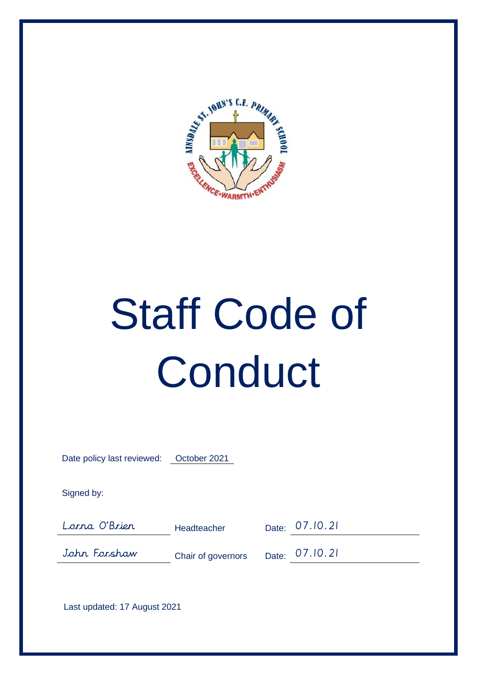

# Staff Code of **Conduct**

Date policy last reviewed: October 2021

Signed by:

Lorna O'Brien Headteacher Date: 07.10.21

John Forshaw Chair of governors Date: 07.10.21

Last updated: 17 August 2021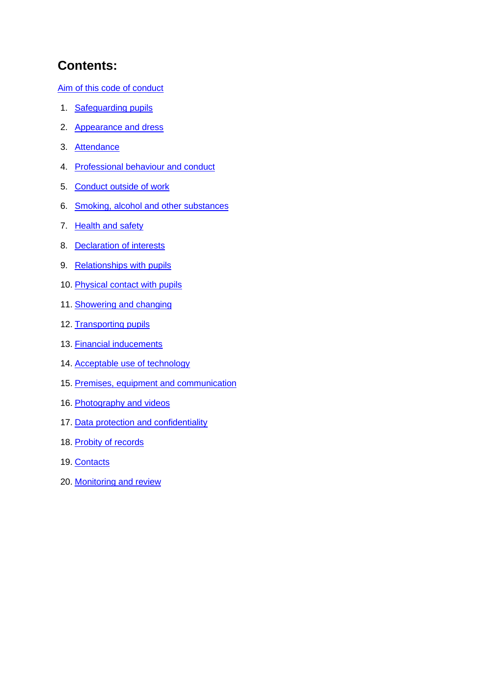# **Contents:**

Aim of this code of conduct

- 1. Safeguarding pupils
- 2. Appearance and dress
- 3. Attendance
- 4. Professional behaviour and conduct
- 5. Conduct outside of work
- 6. Smoking, alcohol and other substances
- 7. Health and safety
- 8. Declaration of interests
- 9. Relationships with pupils
- 10. Physical contact with pupils
- 11. Showering and changing
- 12. Transporting pupils
- 13. Financial inducements
- 14. Acceptable use of technology
- 15. Premises, equipment and communication
- 16. Photography and videos
- 17. Data protection and confidentiality
- 18. Probity of records
- 19. Contacts
- 20. Monitoring and review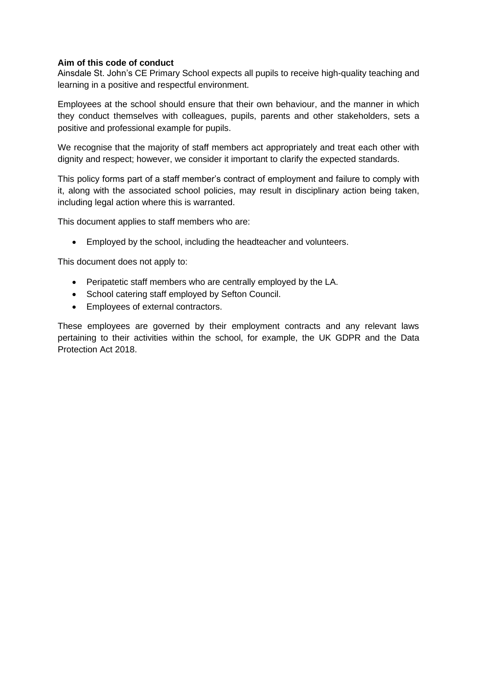#### **Aim of this code of conduct**

Ainsdale St. John's CE Primary School expects all pupils to receive high-quality teaching and learning in a positive and respectful environment.

Employees at the school should ensure that their own behaviour, and the manner in which they conduct themselves with colleagues, pupils, parents and other stakeholders, sets a positive and professional example for pupils.

We recognise that the majority of staff members act appropriately and treat each other with dignity and respect; however, we consider it important to clarify the expected standards.

This policy forms part of a staff member's contract of employment and failure to comply with it, along with the associated school policies, may result in disciplinary action being taken, including legal action where this is warranted.

This document applies to staff members who are:

• Employed by the school, including the headteacher and volunteers.

This document does not apply to:

- Peripatetic staff members who are centrally employed by the LA.
- School catering staff employed by Sefton Council.
- Employees of external contractors.

These employees are governed by their employment contracts and any relevant laws pertaining to their activities within the school, for example, the UK GDPR and the Data Protection Act 2018.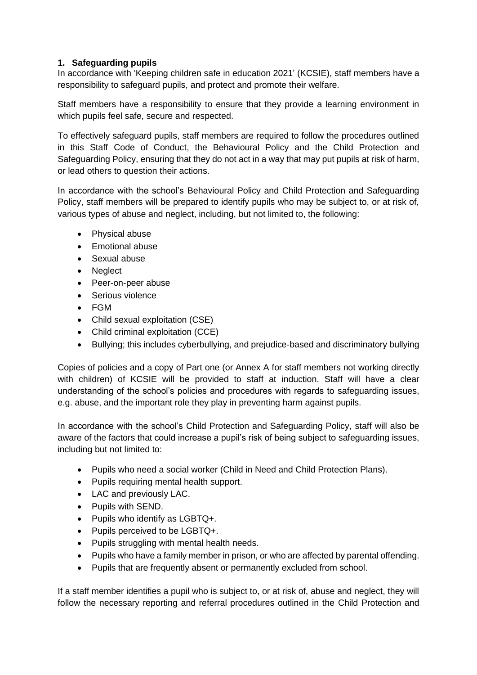# **1. Safeguarding pupils**

In accordance with 'Keeping children safe in education 2021' (KCSIE), staff members have a responsibility to safeguard pupils, and protect and promote their welfare.

Staff members have a responsibility to ensure that they provide a learning environment in which pupils feel safe, secure and respected.

To effectively safeguard pupils, staff members are required to follow the procedures outlined in this Staff Code of Conduct, the Behavioural Policy and the Child Protection and Safeguarding Policy, ensuring that they do not act in a way that may put pupils at risk of harm, or lead others to question their actions.

In accordance with the school's Behavioural Policy and Child Protection and Safeguarding Policy, staff members will be prepared to identify pupils who may be subject to, or at risk of, various types of abuse and neglect, including, but not limited to, the following:

- Physical abuse
- Emotional abuse
- Sexual abuse
- Neglect
- Peer-on-peer abuse
- Serious violence
- FGM
- Child sexual exploitation (CSE)
- Child criminal exploitation (CCE)
- Bullying; this includes cyberbullying, and prejudice-based and discriminatory bullying

Copies of policies and a copy of Part one (or Annex A for staff members not working directly with children) of KCSIE will be provided to staff at induction. Staff will have a clear understanding of the school's policies and procedures with regards to safeguarding issues, e.g. abuse, and the important role they play in preventing harm against pupils.

In accordance with the school's Child Protection and Safeguarding Policy, staff will also be aware of the factors that could increase a pupil's risk of being subject to safeguarding issues, including but not limited to:

- Pupils who need a social worker (Child in Need and Child Protection Plans).
- Pupils requiring mental health support.
- LAC and previously LAC.
- Pupils with SEND.
- Pupils who identify as LGBTQ+.
- Pupils perceived to be LGBTQ+.
- Pupils struggling with mental health needs.
- Pupils who have a family member in prison, or who are affected by parental offending.
- Pupils that are frequently absent or permanently excluded from school.

If a staff member identifies a pupil who is subject to, or at risk of, abuse and neglect, they will follow the necessary reporting and referral procedures outlined in the Child Protection and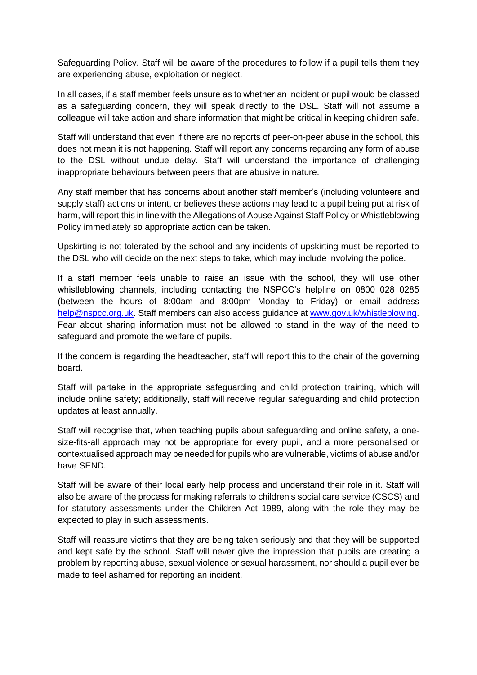Safeguarding Policy. Staff will be aware of the procedures to follow if a pupil tells them they are experiencing abuse, exploitation or neglect.

In all cases, if a staff member feels unsure as to whether an incident or pupil would be classed as a safeguarding concern, they will speak directly to the DSL. Staff will not assume a colleague will take action and share information that might be critical in keeping children safe.

Staff will understand that even if there are no reports of peer-on-peer abuse in the school, this does not mean it is not happening. Staff will report any concerns regarding any form of abuse to the DSL without undue delay. Staff will understand the importance of challenging inappropriate behaviours between peers that are abusive in nature.

Any staff member that has concerns about another staff member's (including volunteers and supply staff) actions or intent, or believes these actions may lead to a pupil being put at risk of harm, will report this in line with the Allegations of Abuse Against Staff Policy or Whistleblowing Policy immediately so appropriate action can be taken.

Upskirting is not tolerated by the school and any incidents of upskirting must be reported to the DSL who will decide on the next steps to take, which may include involving the police.

If a staff member feels unable to raise an issue with the school, they will use other whistleblowing channels, including contacting the NSPCC's helpline on 0800 028 0285 (between the hours of 8:00am and 8:00pm Monday to Friday) or email address [help@nspcc.org.uk.](mailto:help@nspcc.org.uk) Staff members can also access guidance at [www.gov.uk/whistleblowing.](https://www.gov.uk/whistleblowing) Fear about sharing information must not be allowed to stand in the way of the need to safeguard and promote the welfare of pupils.

If the concern is regarding the headteacher, staff will report this to the chair of the governing board.

Staff will partake in the appropriate safeguarding and child protection training, which will include online safety; additionally, staff will receive regular safeguarding and child protection updates at least annually.

Staff will recognise that, when teaching pupils about safeguarding and online safety, a onesize-fits-all approach may not be appropriate for every pupil, and a more personalised or contextualised approach may be needed for pupils who are vulnerable, victims of abuse and/or have SEND.

Staff will be aware of their local early help process and understand their role in it. Staff will also be aware of the process for making referrals to children's social care service (CSCS) and for statutory assessments under the Children Act 1989, along with the role they may be expected to play in such assessments.

Staff will reassure victims that they are being taken seriously and that they will be supported and kept safe by the school. Staff will never give the impression that pupils are creating a problem by reporting abuse, sexual violence or sexual harassment, nor should a pupil ever be made to feel ashamed for reporting an incident.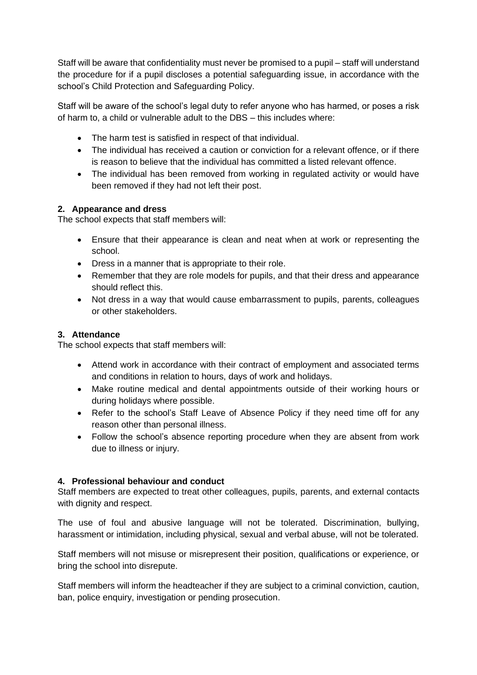Staff will be aware that confidentiality must never be promised to a pupil – staff will understand the procedure for if a pupil discloses a potential safeguarding issue, in accordance with the school's Child Protection and Safeguarding Policy.

Staff will be aware of the school's legal duty to refer anyone who has harmed, or poses a risk of harm to, a child or vulnerable adult to the DBS – this includes where:

- The harm test is satisfied in respect of that individual.
- The individual has received a caution or conviction for a relevant offence, or if there is reason to believe that the individual has committed a listed relevant offence.
- The individual has been removed from working in regulated activity or would have been removed if they had not left their post.

# **2. Appearance and dress**

The school expects that staff members will:

- Ensure that their appearance is clean and neat when at work or representing the school.
- Dress in a manner that is appropriate to their role.
- Remember that they are role models for pupils, and that their dress and appearance should reflect this.
- Not dress in a way that would cause embarrassment to pupils, parents, colleagues or other stakeholders.

# **3. Attendance**

The school expects that staff members will:

- Attend work in accordance with their contract of employment and associated terms and conditions in relation to hours, days of work and holidays.
- Make routine medical and dental appointments outside of their working hours or during holidays where possible.
- Refer to the school's Staff Leave of Absence Policy if they need time off for any reason other than personal illness.
- Follow the school's absence reporting procedure when they are absent from work due to illness or injury.

# **4. Professional behaviour and conduct**

Staff members are expected to treat other colleagues, pupils, parents, and external contacts with dignity and respect.

The use of foul and abusive language will not be tolerated. Discrimination, bullying, harassment or intimidation, including physical, sexual and verbal abuse, will not be tolerated.

Staff members will not misuse or misrepresent their position, qualifications or experience, or bring the school into disrepute.

Staff members will inform the headteacher if they are subject to a criminal conviction, caution, ban, police enquiry, investigation or pending prosecution.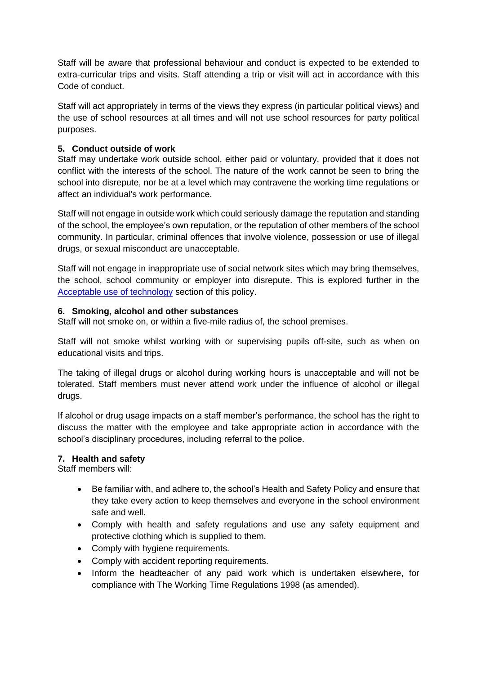Staff will be aware that professional behaviour and conduct is expected to be extended to extra-curricular trips and visits. Staff attending a trip or visit will act in accordance with this Code of conduct.

Staff will act appropriately in terms of the views they express (in particular political views) and the use of school resources at all times and will not use school resources for party political purposes.

# **5. Conduct outside of work**

Staff may undertake work outside school, either paid or voluntary, provided that it does not conflict with the interests of the school. The nature of the work cannot be seen to bring the school into disrepute, nor be at a level which may contravene the working time regulations or affect an individual's work performance.

Staff will not engage in outside work which could seriously damage the reputation and standing of the school, the employee's own reputation, or the reputation of other members of the school community. In particular, criminal offences that involve violence, possession or use of illegal drugs, or sexual misconduct are unacceptable.

Staff will not engage in inappropriate use of social network sites which may bring themselves, the school, school community or employer into disrepute. This is explored further in the Acceptable use of technology section of this policy.

# **6. Smoking, alcohol and other substances**

Staff will not smoke on, or within a five-mile radius of, the school premises.

Staff will not smoke whilst working with or supervising pupils off-site, such as when on educational visits and trips.

The taking of illegal drugs or alcohol during working hours is unacceptable and will not be tolerated. Staff members must never attend work under the influence of alcohol or illegal drugs.

If alcohol or drug usage impacts on a staff member's performance, the school has the right to discuss the matter with the employee and take appropriate action in accordance with the school's disciplinary procedures, including referral to the police.

#### **7. Health and safety**

Staff members will:

- Be familiar with, and adhere to, the school's Health and Safety Policy and ensure that they take every action to keep themselves and everyone in the school environment safe and well.
- Comply with health and safety regulations and use any safety equipment and protective clothing which is supplied to them.
- Comply with hygiene requirements.
- Comply with accident reporting requirements.
- Inform the headteacher of any paid work which is undertaken elsewhere, for compliance with The Working Time Regulations 1998 (as amended).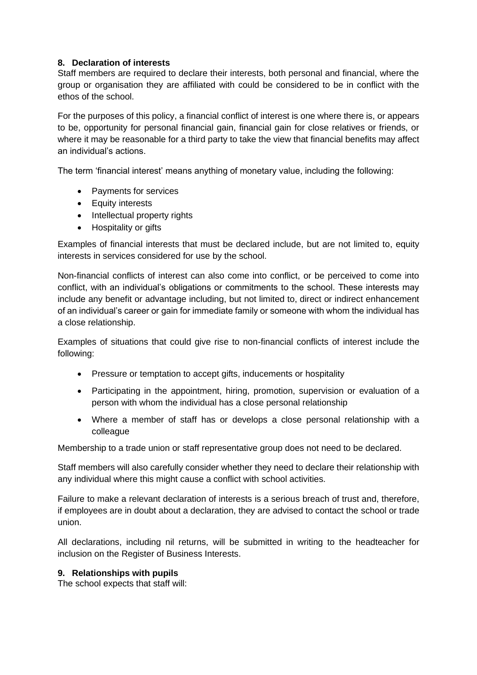# **8. Declaration of interests**

Staff members are required to declare their interests, both personal and financial, where the group or organisation they are affiliated with could be considered to be in conflict with the ethos of the school.

For the purposes of this policy, a financial conflict of interest is one where there is, or appears to be, opportunity for personal financial gain, financial gain for close relatives or friends, or where it may be reasonable for a third party to take the view that financial benefits may affect an individual's actions.

The term 'financial interest' means anything of monetary value, including the following:

- Payments for services
- Equity interests
- Intellectual property rights
- Hospitality or gifts

Examples of financial interests that must be declared include, but are not limited to, equity interests in services considered for use by the school.

Non-financial conflicts of interest can also come into conflict, or be perceived to come into conflict, with an individual's obligations or commitments to the school. These interests may include any benefit or advantage including, but not limited to, direct or indirect enhancement of an individual's career or gain for immediate family or someone with whom the individual has a close relationship.

Examples of situations that could give rise to non-financial conflicts of interest include the following:

- Pressure or temptation to accept gifts, inducements or hospitality
- Participating in the appointment, hiring, promotion, supervision or evaluation of a person with whom the individual has a close personal relationship
- Where a member of staff has or develops a close personal relationship with a colleague

Membership to a trade union or staff representative group does not need to be declared.

Staff members will also carefully consider whether they need to declare their relationship with any individual where this might cause a conflict with school activities.

Failure to make a relevant declaration of interests is a serious breach of trust and, therefore, if employees are in doubt about a declaration, they are advised to contact the school or trade union.

All declarations, including nil returns, will be submitted in writing to the headteacher for inclusion on the Register of Business Interests.

# **9. Relationships with pupils**

The school expects that staff will: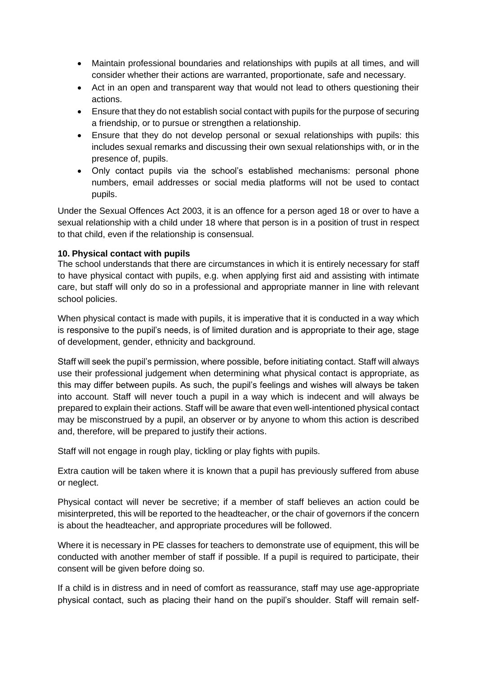- Maintain professional boundaries and relationships with pupils at all times, and will consider whether their actions are warranted, proportionate, safe and necessary.
- Act in an open and transparent way that would not lead to others questioning their actions.
- Ensure that they do not establish social contact with pupils for the purpose of securing a friendship, or to pursue or strengthen a relationship.
- Ensure that they do not develop personal or sexual relationships with pupils: this includes sexual remarks and discussing their own sexual relationships with, or in the presence of, pupils.
- Only contact pupils via the school's established mechanisms: personal phone numbers, email addresses or social media platforms will not be used to contact pupils.

Under the Sexual Offences Act 2003, it is an offence for a person aged 18 or over to have a sexual relationship with a child under 18 where that person is in a position of trust in respect to that child, even if the relationship is consensual.

# **10. Physical contact with pupils**

The school understands that there are circumstances in which it is entirely necessary for staff to have physical contact with pupils, e.g. when applying first aid and assisting with intimate care, but staff will only do so in a professional and appropriate manner in line with relevant school policies.

When physical contact is made with pupils, it is imperative that it is conducted in a way which is responsive to the pupil's needs, is of limited duration and is appropriate to their age, stage of development, gender, ethnicity and background.

Staff will seek the pupil's permission, where possible, before initiating contact. Staff will always use their professional judgement when determining what physical contact is appropriate, as this may differ between pupils. As such, the pupil's feelings and wishes will always be taken into account. Staff will never touch a pupil in a way which is indecent and will always be prepared to explain their actions. Staff will be aware that even well-intentioned physical contact may be misconstrued by a pupil, an observer or by anyone to whom this action is described and, therefore, will be prepared to justify their actions.

Staff will not engage in rough play, tickling or play fights with pupils.

Extra caution will be taken where it is known that a pupil has previously suffered from abuse or neglect.

Physical contact will never be secretive; if a member of staff believes an action could be misinterpreted, this will be reported to the headteacher, or the chair of governors if the concern is about the headteacher, and appropriate procedures will be followed.

Where it is necessary in PE classes for teachers to demonstrate use of equipment, this will be conducted with another member of staff if possible. If a pupil is required to participate, their consent will be given before doing so.

If a child is in distress and in need of comfort as reassurance, staff may use age-appropriate physical contact, such as placing their hand on the pupil's shoulder. Staff will remain self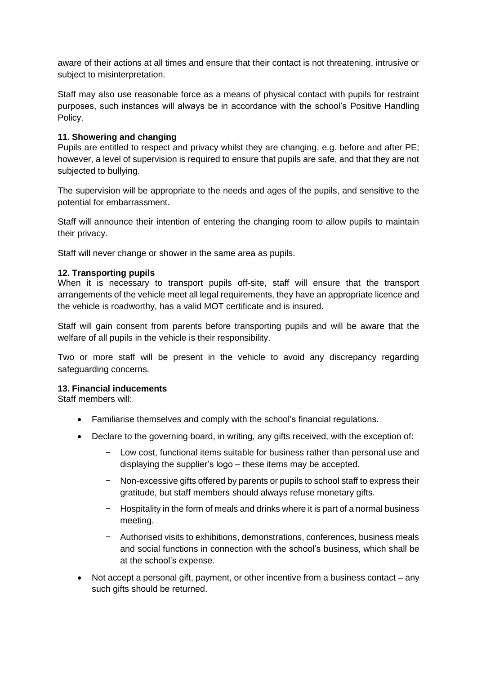aware of their actions at all times and ensure that their contact is not threatening, intrusive or subject to misinterpretation.

Staff may also use reasonable force as a means of physical contact with pupils for restraint purposes, such instances will always be in accordance with the school's Positive Handling Policy.

# **11. Showering and changing**

Pupils are entitled to respect and privacy whilst they are changing, e.g. before and after PE; however, a level of supervision is required to ensure that pupils are safe, and that they are not subjected to bullying.

The supervision will be appropriate to the needs and ages of the pupils, and sensitive to the potential for embarrassment.

Staff will announce their intention of entering the changing room to allow pupils to maintain their privacy.

Staff will never change or shower in the same area as pupils.

# **12. Transporting pupils**

When it is necessary to transport pupils off-site, staff will ensure that the transport arrangements of the vehicle meet all legal requirements, they have an appropriate licence and the vehicle is roadworthy, has a valid MOT certificate and is insured.

Staff will gain consent from parents before transporting pupils and will be aware that the welfare of all pupils in the vehicle is their responsibility.

Two or more staff will be present in the vehicle to avoid any discrepancy regarding safeguarding concerns.

# **13. Financial inducements**

Staff members will:

- Familiarise themselves and comply with the school's financial regulations.
- Declare to the governing board, in writing, any gifts received, with the exception of:
	- − Low cost, functional items suitable for business rather than personal use and displaying the supplier's logo – these items may be accepted.
	- − Non-excessive gifts offered by parents or pupils to school staff to express their gratitude, but staff members should always refuse monetary gifts.
	- − Hospitality in the form of meals and drinks where it is part of a normal business meeting.
	- − Authorised visits to exhibitions, demonstrations, conferences, business meals and social functions in connection with the school's business, which shall be at the school's expense.
- Not accept a personal gift, payment, or other incentive from a business contact any such gifts should be returned.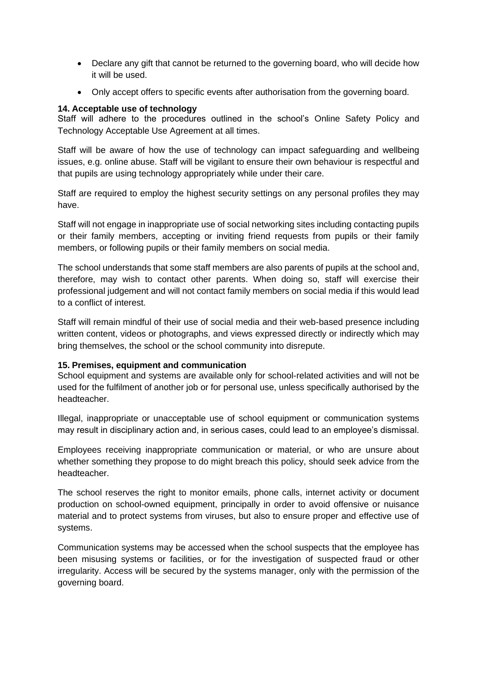- Declare any gift that cannot be returned to the governing board, who will decide how it will be used.
- Only accept offers to specific events after authorisation from the governing board.

# **14. Acceptable use of technology**

Staff will adhere to the procedures outlined in the school's Online Safety Policy and Technology Acceptable Use Agreement at all times.

Staff will be aware of how the use of technology can impact safeguarding and wellbeing issues, e.g. online abuse. Staff will be vigilant to ensure their own behaviour is respectful and that pupils are using technology appropriately while under their care.

Staff are required to employ the highest security settings on any personal profiles they may have.

Staff will not engage in inappropriate use of social networking sites including contacting pupils or their family members, accepting or inviting friend requests from pupils or their family members, or following pupils or their family members on social media.

The school understands that some staff members are also parents of pupils at the school and, therefore, may wish to contact other parents. When doing so, staff will exercise their professional judgement and will not contact family members on social media if this would lead to a conflict of interest.

Staff will remain mindful of their use of social media and their web-based presence including written content, videos or photographs, and views expressed directly or indirectly which may bring themselves, the school or the school community into disrepute.

# **15. Premises, equipment and communication**

School equipment and systems are available only for school-related activities and will not be used for the fulfilment of another job or for personal use, unless specifically authorised by the headteacher.

Illegal, inappropriate or unacceptable use of school equipment or communication systems may result in disciplinary action and, in serious cases, could lead to an employee's dismissal.

Employees receiving inappropriate communication or material, or who are unsure about whether something they propose to do might breach this policy, should seek advice from the headteacher.

The school reserves the right to monitor emails, phone calls, internet activity or document production on school-owned equipment, principally in order to avoid offensive or nuisance material and to protect systems from viruses, but also to ensure proper and effective use of systems.

Communication systems may be accessed when the school suspects that the employee has been misusing systems or facilities, or for the investigation of suspected fraud or other irregularity. Access will be secured by the systems manager, only with the permission of the governing board.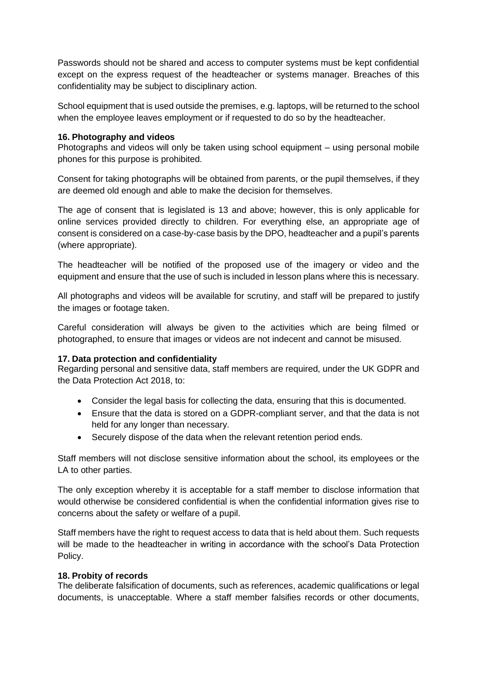Passwords should not be shared and access to computer systems must be kept confidential except on the express request of the headteacher or systems manager. Breaches of this confidentiality may be subject to disciplinary action.

School equipment that is used outside the premises, e.g. laptops, will be returned to the school when the employee leaves employment or if requested to do so by the headteacher.

#### **16. Photography and videos**

Photographs and videos will only be taken using school equipment – using personal mobile phones for this purpose is prohibited.

Consent for taking photographs will be obtained from parents, or the pupil themselves, if they are deemed old enough and able to make the decision for themselves.

The age of consent that is legislated is 13 and above; however, this is only applicable for online services provided directly to children. For everything else, an appropriate age of consent is considered on a case-by-case basis by the DPO, headteacher and a pupil's parents (where appropriate).

The headteacher will be notified of the proposed use of the imagery or video and the equipment and ensure that the use of such is included in lesson plans where this is necessary.

All photographs and videos will be available for scrutiny, and staff will be prepared to justify the images or footage taken.

Careful consideration will always be given to the activities which are being filmed or photographed, to ensure that images or videos are not indecent and cannot be misused.

# **17. Data protection and confidentiality**

Regarding personal and sensitive data, staff members are required, under the UK GDPR and the Data Protection Act 2018, to:

- Consider the legal basis for collecting the data, ensuring that this is documented.
- Ensure that the data is stored on a GDPR-compliant server, and that the data is not held for any longer than necessary.
- Securely dispose of the data when the relevant retention period ends.

Staff members will not disclose sensitive information about the school, its employees or the LA to other parties.

The only exception whereby it is acceptable for a staff member to disclose information that would otherwise be considered confidential is when the confidential information gives rise to concerns about the safety or welfare of a pupil.

Staff members have the right to request access to data that is held about them. Such requests will be made to the headteacher in writing in accordance with the school's Data Protection Policy.

#### **18. Probity of records**

The deliberate falsification of documents, such as references, academic qualifications or legal documents, is unacceptable. Where a staff member falsifies records or other documents,